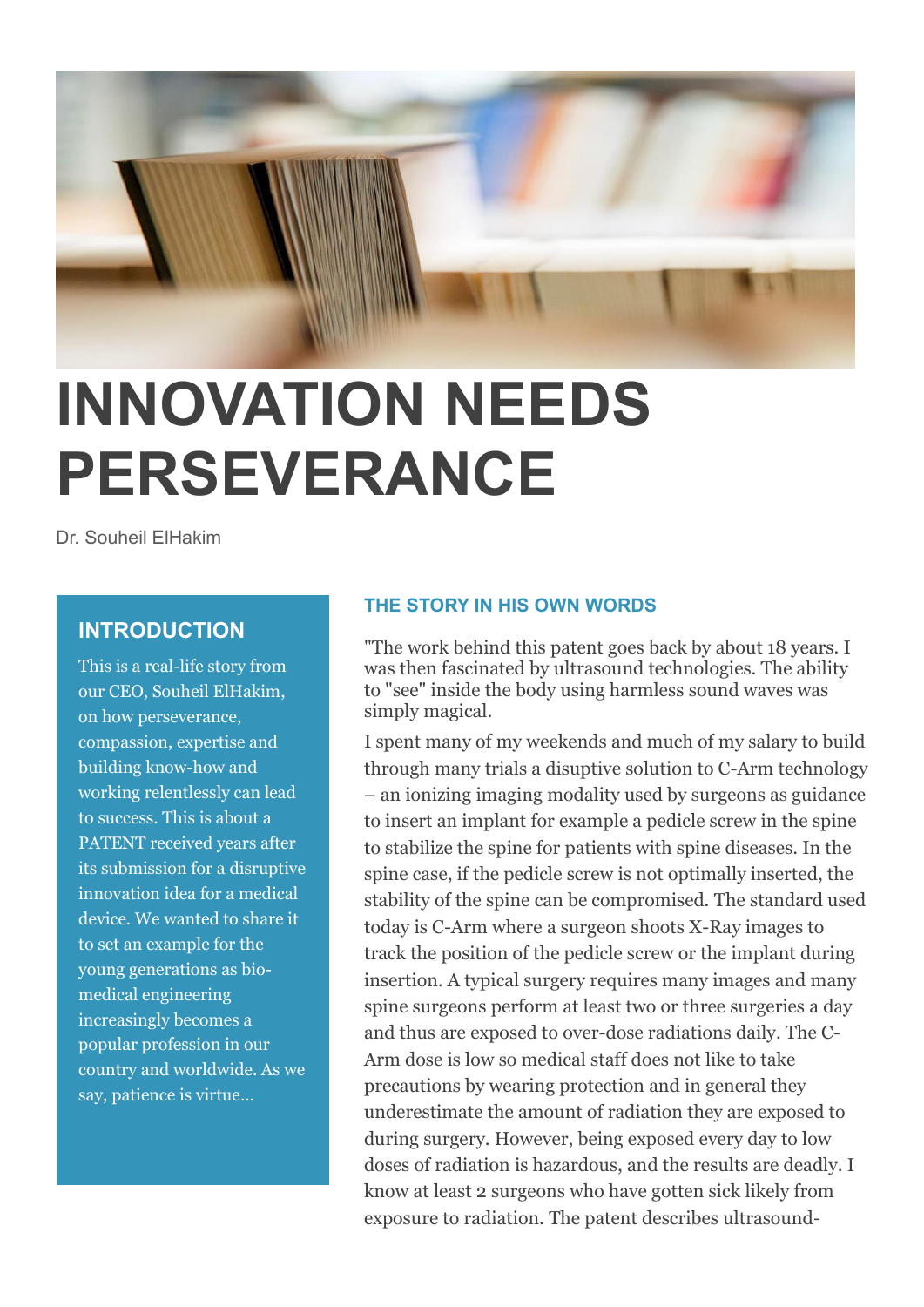

## **INNOVATION NEEDS PERSEVERANCE**

Dr. Souheil ElHakim

## **INTRODUCTION**

This is a real-life story from our CEO, Souheil ElHakim, on how perseverance, compassion, expertise and building know-how and working relentlessly can lead to success. This is about a PATENT received years after its submission for a disruptive innovation idea for a medical device. We wanted to share it to set an example for the young generations as biomedical engineering increasingly becomes a popular profession in our country and worldwide. As we say, patience is virtue…

## **THE STORY IN HIS OWN WORDS**

"The work behind this patent goes back by about 18 years. I was then fascinated by ultrasound technologies. The ability to "see" inside the body using harmless sound waves was simply magical.

I spent many of my weekends and much of my salary to build through many trials a disuptive solution to C-Arm technology – an ionizing imaging modality used by surgeons as guidance to insert an implant for example a pedicle screw in the spine to stabilize the spine for patients with spine diseases. In the spine case, if the pedicle screw is not optimally inserted, the stability of the spine can be compromised. The standard used today is C-Arm where a surgeon shoots X-Ray images to track the position of the pedicle screw or the implant during insertion. A typical surgery requires many images and many spine surgeons perform at least two or three surgeries a day and thus are exposed to over-dose radiations daily. The C-Arm dose is low so medical staff does not like to take precautions by wearing protection and in general they underestimate the amount of radiation they are exposed to during surgery. However, being exposed every day to low doses of radiation is hazardous, and the results are deadly. I know at least 2 surgeons who have gotten sick likely from exposure to radiation. The patent describes ultrasound